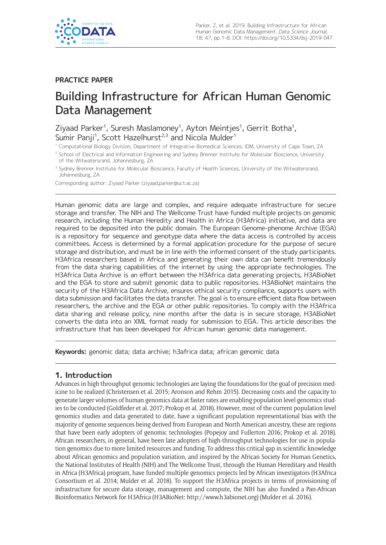

# **PRACTICE PAPER**

# Building Infrastructure for African Human Genomic Data Management

Ziyaad Parker<sup>1</sup>, Suresh Maslamoney<sup>1</sup>, Ayton Meintjes<sup>1</sup>, Gerrit Botha<sup>1</sup>, Sumir Panji $^1$ , Scott Hazelhurst $^{2,3}$  and Nicola Mulder $^1$ 

<sup>1</sup> Computational Biology Division, Department of Integrative Biomedical Sciences, IDM, University of Cape Town, ZA

Corresponding author: Ziyaad Parker [\(ziyaad.parker@uct.ac.za\)](mailto:ziyaad.parker@uct.ac.za)

Human genomic data are large and complex, and require adequate infrastructure for secure storage and transfer. The NIH and The Wellcome Trust have funded multiple projects on genomic research, including the Human Heredity and Health in Africa (H3Africa) initiative, and data are required to be deposited into the public domain. The European Genome-phenome Archive (EGA) is a repository for sequence and genotype data where the data access is controlled by access committees. Access is determined by a formal application procedure for the purpose of secure storage and distribution, and must be in line with the informed consent of the study participants. H3Africa researchers based in Africa and generating their own data can benefit tremendously from the data sharing capabilities of the internet by using the appropriate technologies. The H3Africa Data Archive is an effort between the H3Africa data generating projects, H3ABioNet and the EGA to store and submit genomic data to public repositories. H3ABioNet maintains the security of the H3Africa Data Archive, ensures ethical security compliance, supports users with data submission and facilitates the data transfer. The goal is to ensure efficient data flow between researchers, the archive and the EGA or other public repositories. To comply with the H3Africa data sharing and release policy, nine months after the data is in secure storage, H3ABioNet converts the data into an XML format ready for submission to EGA. This article describes the infrastructure that has been developed for African human genomic data management.

**Keywords:** genomic data; data archive; h3africa data; african genomic data

## **1. Introduction**

Advances in high throughput genomic technologies are laying the foundations for the goal of precision medicine to be realized (Christensen et al. 2015; Aronson and Rehm 2015). Decreasing costs and the capacity to generate larger volumes of human genomics data at faster rates are enabling population level genomics studies to be conducted (Goldfeder et al. 2017; Prokop et al. 2018). However, most of the current population level genomics studies and data generated to date, have a significant population representational bias with the majority of genome sequences being derived from European and North American ancestry, these are regions that have been early adopters of genomic technologies (Popejoy and Fullerton 2016; Prokop et al. 2018). African researchers, in general, have been late adopters of high-throughput technologies for use in population genomics due to more limited resources and funding. To address this critical gap in scientific knowledge about African genomics and population variation, and inspired by the African Society for Human Genetics, the National Institutes of Health (NIH) and The Wellcome Trust, through the Human Hereditary and Health in Africa (H3Africa) program, have funded multiple genomics projects led by African investigators (H3Africa Consortium et al. 2014; Mulder et al. 2018). To support the H3Africa projects in terms of provisioning of infrastructure for secure data storage, management and compute, the NIH has also funded a Pan-African Bioinformatics Network for H3Africa (H3ABioNet: [http://www.h3abionet.org\)](http://www.h3abionet.org) (Mulder et al. 2016).

<sup>&</sup>lt;sup>2</sup> School of Electrical and Information Engineering and Sydney Brenner Institute for Molecular Bioscience, University of the Witwatersrand, Johannesburg, ZA

<sup>&</sup>lt;sup>3</sup> Sydney Brenner Institute for Molecular Bioscience, Faculty of Health Sciences, University of the Witwatersrand, Johannesburg, ZA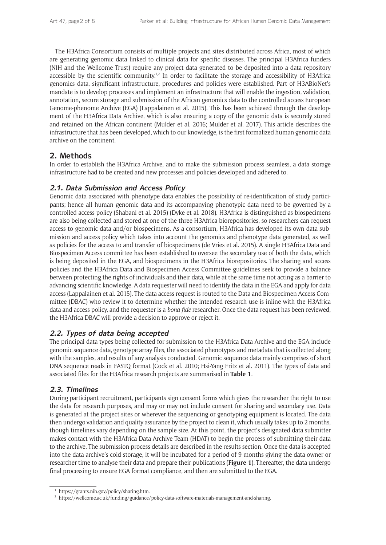The H3Africa Consortium consists of multiple projects and sites distributed across Africa, most of which are generating genomic data linked to clinical data for specific diseases. The principal H3Africa funders (NIH and the Wellcome Trust) require any project data generated to be deposited into a data repository accessible by the scientific community.<sup>1,2</sup> In order to facilitate the storage and accessibility of H3Africa genomics data, significant infrastructure, procedures and policies were established. Part of H3ABioNet's mandate is to develop processes and implement an infrastructure that will enable the ingestion, validation, annotation, secure storage and submission of the African genomics data to the controlled access European Genome-phenome Archive (EGA) (Lappalainen et al. 2015). This has been achieved through the development of the H3Africa Data Archive, which is also ensuring a copy of the genomic data is securely stored and retained on the African continent (Mulder et al. 2016; Mulder et al. 2017). This article describes the infrastructure that has been developed, which to our knowledge, is the first formalized human genomic data archive on the continent.

# **2. Methods**

In order to establish the H3Africa Archive, and to make the submission process seamless, a data storage infrastructure had to be created and new processes and policies developed and adhered to.

## **2.1. Data Submission and Access Policy**

Genomic data associated with phenotype data enables the possibility of re-identification of study participants; hence all human genomic data and its accompanying phenotypic data need to be governed by a controlled access policy (Shabani et al. 2015) (Dyke et al. 2018). H3Africa is distinguished as biospecimens are also being collected and stored at one of the three H3Africa biorepositories, so researchers can request access to genomic data and/or biospecimens. As a consortium, H3Africa has developed its own data submission and access policy which takes into account the genomics and phenotype data generated, as well as policies for the access to and transfer of biospecimens (de Vries et al. 2015). A single H3Africa Data and Biospecimen Access committee has been established to oversee the secondary use of both the data, which is being deposited in the EGA, and biospecimens in the H3Africa biorepositories. The sharing and access policies and the H3Africa Data and Biospecimen Access Committee guidelines seek to provide a balance between protecting the rights of individuals and their data, while at the same time not acting as a barrier to advancing scientific knowledge. A data requester will need to identify the data in the EGA and apply for data access (Lappalainen et al. 2015). The data access request is routed to the Data and Biospecimen Access Committee (DBAC) who review it to determine whether the intended research use is inline with the H3Africa data and access policy, and the requester is a *bona fide* researcher. Once the data request has been reviewed, the H3Africa DBAC will provide a decision to approve or reject it.

## **2.2. Types of data being accepted**

The principal data types being collected for submission to the H3Africa Data Archive and the EGA include genomic sequence data, genotype array files, the associated phenotypes and metadata that is collected along with the samples, and results of any analysis conducted. Genomic sequence data mainly comprises of short DNA sequence reads in FASTQ format (Cock et al. 2010; Hsi-Yang Fritz et al. 2011). The types of data and associated files for the H3Africa research projects are summarised in **Table 1**.

## **2.3. Timelines**

During participant recruitment, participants sign consent forms which gives the researcher the right to use the data for research purposes, and may or may not include consent for sharing and secondary use. Data is generated at the project sites or wherever the sequencing or genotyping equipment is located. The data then undergo validation and quality assurance by the project to clean it, which usually takes up to 2 months, though timelines vary depending on the sample size. At this point, the project's designated data submitter makes contact with the H3Africa Data Archive Team (HDAT) to begin the process of submitting their data to the archive. The submission process details are described in the results section. Once the data is accepted into the data archive's cold storage, it will be incubated for a period of 9 months giving the data owner or researcher time to analyse their data and prepare their publications (**Figure 1**). Thereafter, the data undergo final processing to ensure EGA format compliance, and then are submitted to the EGA.

<https://grants.nih.gov/policy/sharing.htm>.

<sup>2</sup> <https://wellcome.ac.uk/funding/guidance/policy-data-software-materials-management-and-sharing>.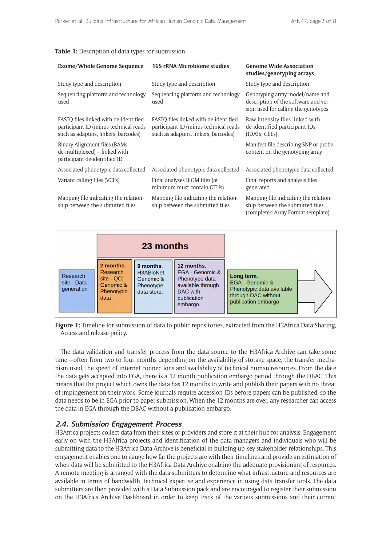#### **Table 1:** Description of data types for submission.

| <b>Exome/Whole Genome Sequence</b>                                                                                     | <b>16S rRNA Microbiome studies</b>                                                                                     | <b>Genome Wide Association</b><br>studies/genotyping arrays                                                    |  |
|------------------------------------------------------------------------------------------------------------------------|------------------------------------------------------------------------------------------------------------------------|----------------------------------------------------------------------------------------------------------------|--|
| Study type and description                                                                                             | Study type and description                                                                                             | Study type and description                                                                                     |  |
| Sequencing platform and technology<br>used                                                                             | Sequencing platform and technology<br>used                                                                             | Genotyping array model/name and<br>description of the software and ver-<br>sion used for calling the genotypes |  |
| FASTQ files linked with de-identified<br>participant ID (minus technical reads<br>such as adapters, linkers, barcodes) | FASTO files linked with de-identified<br>participant ID (minus technical reads<br>such as adapters, linkers, barcodes) | Raw intensity files linked with<br>de-identified participant IDs<br>(IDATs, CELs)                              |  |
| Binary Alignment files (BAMs,<br>de-multiplexed) – linked with<br>participant de-identified ID                         |                                                                                                                        | Manifest file describing SNP or probe<br>content on the genotyping array                                       |  |
| Associated phenotypic data collected                                                                                   | Associated phenotypic data collected                                                                                   | Associated phenotypic data collected                                                                           |  |
| Variant calling files (VCFs)                                                                                           | Final analyses BIOM files (at<br>minimum must contain OTUs)                                                            | Final reports and analysis files<br>generated                                                                  |  |
| Mapping file indicating the relation-<br>ship between the submitted files                                              | Mapping file indicating the relation-<br>ship between the submitted files                                              | Mapping file indicating the relation-<br>ship between the submitted files<br>(completed Array Format template) |  |



**Figure 1:** Timeline for submission of data to public repositories, extracted from the H3Africa Data Sharing, Access and release policy.

The data validation and transfer process from the data source to the H3Africa Archive can take some time —often from two to four months depending on the availability of storage space, the transfer mechanism used, the speed of internet connections and availability of technical human resources. From the date the data gets accepted into EGA, there is a 12 month publication embargo period through the DBAC. This means that the project which owns the data has 12 months to write and publish their papers with no threat of impingement on their work. Some journals require accession IDs before papers can be published, so the data needs to be in EGA prior to paper submission. When the 12 months are over, any researcher can access the data in EGA through the DBAC without a publication embargo.

#### **2.4. Submission Engagement Process**

H3Africa projects collect data from their sites or providers and store it at their hub for analysis. Engagement early on with the H3Africa projects and identification of the data managers and individuals who will be submitting data to the H3Africa Data Archive is beneficial in building up key stakeholder relationships. This engagement enables one to gauge how far the projects are with their timelines and provide an estimation of when data will be submitted to the H3Africa Data Archive enabling the adequate provisioning of resources. A remote meeting is arranged with the data submitters to determine what infrastructure and resources are available in terms of bandwidth, technical expertise and experience in using data transfer tools. The data submitters are then provided with a Data Submission pack and are encouraged to register their submission on the H3Africa Archive Dashboard in order to keep track of the various submissions and their current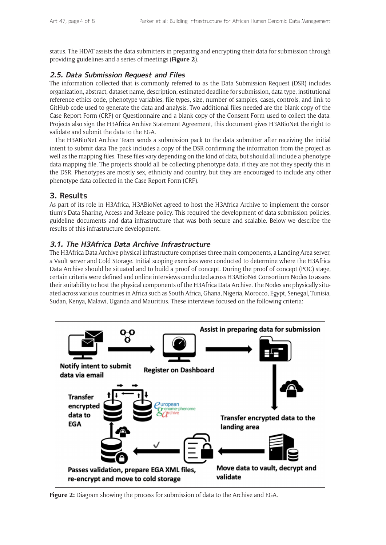status. The HDAT assists the data submitters in preparing and encrypting their data for submission through providing guidelines and a series of meetings (**Figure 2**).

## **2.5. Data Submission Request and Files**

The information collected that is commonly referred to as the Data Submission Request (DSR) includes organization, abstract, dataset name, description, estimated deadline for submission, data type, institutional reference ethics code, phenotype variables, file types, size, number of samples, cases, controls, and link to GitHub code used to generate the data and analysis. Two additional files needed are the blank copy of the Case Report Form (CRF) or Questionnaire and a blank copy of the Consent Form used to collect the data. Projects also sign the H3Africa Archive Statement Agreement, this document gives H3ABioNet the right to validate and submit the data to the EGA.

The H3ABioNet Archive Team sends a submission pack to the data submitter after receiving the initial intent to submit data The pack includes a copy of the DSR confirming the information from the project as well as the mapping files. These files vary depending on the kind of data, but should all include a phenotype data mapping file. The projects should all be collecting phenotype data, if they are not they specify this in the DSR. Phenotypes are mostly sex, ethnicity and country, but they are encouraged to include any other phenotype data collected in the Case Report Form (CRF).

## **3. Results**

As part of its role in H3Africa, H3ABioNet agreed to host the H3Africa Archive to implement the consortium's Data Sharing, Access and Release policy. This required the development of data submission policies, guideline documents and data infrastructure that was both secure and scalable. Below we describe the results of this infrastructure development.

## **3.1. The H3Africa Data Archive Infrastructure**

The H3Africa Data Archive physical infrastructure comprises three main components, a Landing Area server, a Vault server and Cold Storage. Initial scoping exercises were conducted to determine where the H3Africa Data Archive should be situated and to build a proof of concept. During the proof of concept (POC) stage, certain criteria were defined and online interviews conducted across H3ABioNet Consortium Nodes to assess their suitability to host the physical components of the H3Africa Data Archive. The Nodes are physically situated across various countries in Africa such as South Africa, Ghana, Nigeria, Morocco, Egypt, Senegal, Tunisia, Sudan, Kenya, Malawi, Uganda and Mauritius. These interviews focused on the following criteria:



**Figure 2:** Diagram showing the process for submission of data to the Archive and EGA.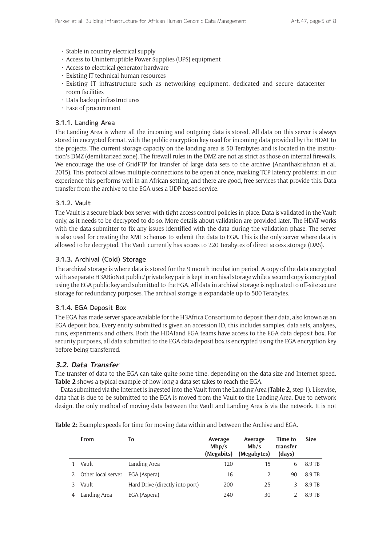- • Stable in country electrical supply
- Access to Uninterruptible Power Supplies (UPS) equipment
- • Access to electrical generator hardware
- Existing IT technical human resources
- • Existing IT infrastructure such as networking equipment, dedicated and secure datacenter room facilities
- • Data backup infrastructures
- • Ease of procurement

#### 3.1.1. Landing Area

The Landing Area is where all the incoming and outgoing data is stored. All data on this server is always stored in encrypted format, with the public encryption key used for incoming data provided by the HDAT to the projects. The current storage capacity on the landing area is 50 Terabytes and is located in the institution's DMZ (demilitarized zone). The firewall rules in the DMZ are not as strict as those on internal firewalls. We encourage the use of GridFTP for transfer of large data sets to the archive (Ananthakrishnan et al. 2015). This protocol allows multiple connections to be open at once, masking TCP latency problems; in our experience this performs well in an African setting, and there are good, free services that provide this. Data transfer from the archive to the EGA uses a UDP-based service.

#### 3.1.2. Vault

The Vault is a secure black-box server with tight access control policies in place. Data is validated in the Vault only, as it needs to be decrypted to do so. More details about validation are provided later. The HDAT works with the data submitter to fix any issues identified with the data during the validation phase. The server is also used for creating the XML schemas to submit the data to EGA. This is the only server where data is allowed to be decrypted. The Vault currently has access to 220 Terabytes of direct access storage (DAS).

#### 3.1.3. Archival (Cold) Storage

The archival storage is where data is stored for the 9 month incubation period. A copy of the data encrypted with a separate H3ABioNet public/private key pair is kept in archival storage while a second copy is encrypted using the EGA public key and submitted to the EGA. All data in archival storage is replicated to off-site secure storage for redundancy purposes. The archival storage is expandable up to 500 Terabytes.

#### 3.1.4. EGA Deposit Box

The EGA has made server space available for the H3Africa Consortium to deposit their data, also known as an EGA deposit box. Every entity submitted is given an accession ID, this includes samples, data sets, analyses, runs, experiments and others. Both the HDATand EGA teams have access to the EGA data deposit box. For security purposes, all data submitted to the EGA data deposit box is encrypted using the EGA encryption key before being transferred.

#### **3.2. Data Transfer**

The transfer of data to the EGA can take quite some time, depending on the data size and Internet speed. **Table 2** shows a typical example of how long a data set takes to reach the EGA.

Data submitted via the Internet is ingested into the Vault from the Landing Area (**Table 2**, step 1). Likewise, data that is due to be submitted to the EGA is moved from the Vault to the Landing Area. Due to network design, the only method of moving data between the Vault and Landing Area is via the network. It is not

**Table 2:** Example speeds for time for moving data within and between the Archive and EGA.

| From                 | To                              | Average<br>Mbp/s<br>(Megabits) | Average<br>Mb/s<br>(Megabytes) | Time to<br>transfer<br>(days) | <b>Size</b> |
|----------------------|---------------------------------|--------------------------------|--------------------------------|-------------------------------|-------------|
| Vault                | Landing Area                    | 120                            | 15                             | <sub>b</sub>                  | 8.9 TB      |
| 2 Other local server | EGA (Aspera)                    | 16                             | 2                              | 90                            | 8.9 TB      |
| Vault                | Hard Drive (directly into port) | 200                            | 25                             |                               | 8.9 TB      |
| Landing Area         | EGA (Aspera)                    | 240                            | 30                             |                               | 8.9 TB      |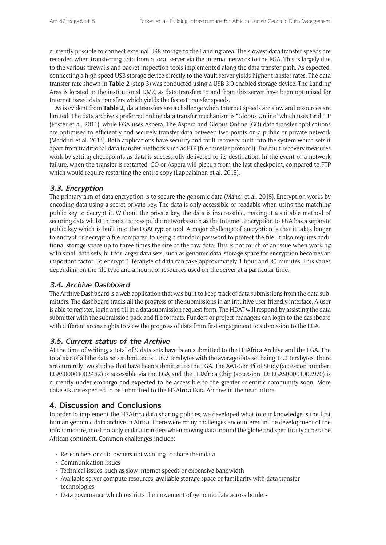currently possible to connect external USB storage to the Landing area. The slowest data transfer speeds are recorded when transferring data from a local server via the internal network to the EGA. This is largely due to the various firewalls and packet inspection tools implemented along the data transfer path. As expected, connecting a high speed USB storage device directly to the Vault server yields higher transfer rates. The data transfer rate shown in **Table 2** (step 3) was conducted using a USB 3.0 enabled storage device. The Landing Area is located in the institutional DMZ, as data transfers to and from this server have been optimised for Internet based data transfers which yields the fastest transfer speeds.

As is evident from **Table 2**, data transfers are a challenge when Internet speeds are slow and resources are limited. The data archive's preferred online data transfer mechanism is "Globus Online" which uses GridFTP (Foster et al. 2011), while EGA uses Aspera. The Aspera and Globus Online (GO) data transfer applications are optimised to efficiently and securely transfer data between two points on a public or private network (Madduri et al. 2014). Both applications have security and fault recovery built into the system which sets it apart from traditional data transfer methods such as FTP (file transfer protocol). The fault recovery measures work by setting checkpoints as data is successfully delivered to its destination. In the event of a network failure, when the transfer is restarted, GO or Aspera will pickup from the last checkpoint, compared to FTP which would require restarting the entire copy (Lappalainen et al. 2015).

## **3.3. Encryption**

The primary aim of data encryption is to secure the genomic data (Mahdi et al. 2018). Encryption works by encoding data using a secret private key. The data is only accessible or readable when using the matching public key to decrypt it. Without the private key, the data is inaccessible, making it a suitable method of securing data whilst in transit across public networks such as the Internet. Encryption to EGA has a separate public key which is built into the EGACryptor tool. A major challenge of encryption is that it takes longer to encrypt or decrypt a file compared to using a standard password to protect the file. It also requires additional storage space up to three times the size of the raw data. This is not much of an issue when working with small data sets, but for larger data sets, such as genomic data, storage space for encryption becomes an important factor. To encrypt 1 Terabyte of data can take approximately 1 hour and 30 minutes. This varies depending on the file type and amount of resources used on the server at a particular time.

#### **3.4. Archive Dashboard**

The Archive Dashboard is a web application that was built to keep track of data submissions from the data submitters. The dashboard tracks all the progress of the submissions in an intuitive user friendly interface. A user is able to register, login and fill in a data submission request form. The HDAT will respond by assisting the data submitter with the submission pack and file formats. Funders or project managers can login to the dashboard with different access rights to view the progress of data from first engagement to submission to the EGA.

#### **3.5. Current status of the Archive**

At the time of writing, a total of 9 data sets have been submitted to the H3Africa Archive and the EGA. The total size of all the data sets submitted is 118.7 Terabytes with the average data set being 13.2 Terabytes. There are currently two studies that have been submitted to the EGA. The AWI-Gen Pilot Study (accession number: EGAS00001002482) is accessible via the EGA and the H3Africa Chip (accession ID: EGAS00001002976) is currently under embargo and expected to be accessible to the greater scientific community soon. More datasets are expected to be submitted to the H3Africa Data Archive in the near future.

## **4. Discussion and Conclusions**

In order to implement the H3Africa data sharing policies, we developed what to our knowledge is the first human genomic data archive in Africa. There were many challenges encountered in the development of the infrastructure, most notably in data transfers when moving data around the globe and specifically across the African continent. Common challenges include:

- $\cdot$  Researchers or data owners not wanting to share their data
- • Communication issues
- Technical issues, such as slow internet speeds or expensive bandwidth
- • Available server compute resources, available storage space or familiarity with data transfer technologies
- Data governance which restricts the movement of genomic data across borders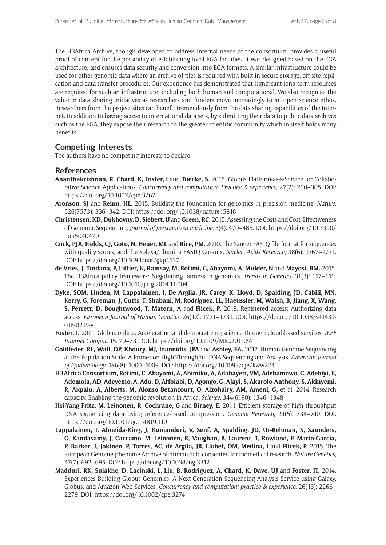The H3Africa Archive, though developed to address internal needs of the consortium, provides a useful proof of concept for the possibility of establishing local EGA facilities. It was designed based on the EGA architecture, and ensures data security and conversion into EGA formats. A similar infrastructure could be used for other genomic data where an archive of files is required with built in secure storage, off-site replication and data transfer procedures. Our experience has demonstrated that significant long-term resources are required for such an infrastructure, including both human and computational. We also recognize the value in data sharing initiatives as researchers and funders move increasingly to an open science ethos. Researchers from the project sites can benefit tremendously from the data sharing capabilities of the Internet. In addition to having access to international data sets, by submitting their data to public data archives such as the EGA, they expose their research to the greater scientific community which in itself holds many benefits.

## **Competing Interests**

The authors have no competing interests to declare.

#### **References**

- **Ananthakrishnan, R, Chard, K, Foster, I** and **Tuecke, S.** 2015. Globus Platform-as-a-Service for Collaborative Science Applications. *Concurrency and computation: Practice & experience*, 27(2): 290–305. DOI: <https://doi.org/10.1002/cpe.3262>
- **Aronson, SJ** and **Rehm, HL.** 2015. Building the foundation for genomics in precision medicine. *Nature*, 526(7573): 336–342. DOI: <https://doi.org/10.1038/nature15816>
- **Christensen, KD, Dukhovny, D, Siebert, U** and **Green, RC.** 2015. Assessing the Costs and Cost-Effectiveness of Genomic Sequencing. *Journal of personalized medicine*, 5(4): 470–486. DOI: [https://doi.org/10.3390/](https://doi.org/10.3390/jpm5040470) [jpm5040470](https://doi.org/10.3390/jpm5040470)
- **Cock, PJA, Fields, CJ, Goto, N, Heuer, ML** and **Rice, PM.** 2010. The Sanger FASTQ file format for sequences with quality scores, and the Solexa/Illumina FASTQ variants. *Nucleic Acids Research*, 38(6): 1767–1771. DOI: <https://doi.org/10.1093/nar/gkp1137>
- **de Vries, J, Tindana, P, Littler, K, Ramsay, M, Rotimi, C, Abayomi, A, Mulder, N** and **Mayosi, BM.** 2015. The H3Africa policy framework: Negotiating fairness in genomics. *Trends in Genetics*, 31(3): 117–119. DOI: <https://doi.org/10.1016/j.tig.2014.11.004>
- **Dyke, SOM, Linden, M, Lappalainen, I, De Argila, JR, Carey, K, Lloyd, D, Spalding, JD, Cabili, MN, Kerry, G, Foreman, J, Cutts, T, Shabani, M, Rodriguez, LL, Haeussler, M, Walsh, B, Jiang, X, Wang, S, Perrett, D, Boughtwood, T, Matern, A** and **Flicek, P.** 2018. Registered access: Authorizing data access. *European Journal of Human Genetics*, 26(12): 1721–1731. DOI: [https://doi.org/10.1038/s41431-](https://doi.org/10.1038/s41431-018-0219-y) [018-0219-y](https://doi.org/10.1038/s41431-018-0219-y)
- **Foster, I.** 2011. Globus online: Accelerating and democratizing science through cloud-based services. *IEEE Internet Comput*, 15: 70–73. DOI:<https://doi.org/10.1109/MIC.2011.64>
- **Goldfeder, RL, Wall, DP, Khoury, MJ, Ioannidis, JPA** and **Ashley, EA.** 2017. Human Genome Sequencing at the Population Scale: A Primer on High-Throughput DNA Sequencing and Analysis. *American Journal of Epidemiology*, 186(8): 1000–1009. DOI: <https://doi.org/10.1093/aje/kww224>
- **H3Africa Consortium, Rotimi, C, Abayomi, A, Abimiku, A, Adabayeri, VM, Adebamowo, C, Adebiyi, E, Ademola, AD, Adeyemo, A, Adu, D, Affolabi, D, Agongo, G, Ajayi, S, Akarolo-Anthony, S, Akinyemi, R, Akpalu, A, Alberts, M, Alonso Betancourt, O, Alzohairy, AM, Ameni, G,** et al. 2014. Research capacity. Enabling the genomic revolution in Africa. *Science*, 344(6190): 1346–1348.
- **Hsi-Yang Fritz, M, Leinonen, R, Cochrane, G** and **Birney, E.** 2011. Efficient storage of high throughput DNA sequencing data using reference-based compression. *Genome Research*, 21(5): 734–740. DOI: <https://doi.org/10.1101/gr.114819.110>
- **Lappalainen, I, Almeida-King, J, Kumanduri, V, Senf, A, Spalding, JD, Ur-Rehman, S, Saunders, G, Kandasamy, J, Caccamo, M, Leinonen, R, Vaughan, B, Laurent, T, Rowland, F, Marin-Garcia, P, Barker, J, Jokinen, P, Torres, AC, de Argila, JR, Llobet, OM, Medina, I** and **Flicek, P.** 2015. The European Genome-phenome Archive of human data consented for biomedical research. *Nature Genetics*, 47(7): 692–695. DOI: <https://doi.org/10.1038/ng.3312>
- **Madduri, RK, Sulakhe, D, Lacinski, L, Liu, B, Rodriguez, A, Chard, K, Dave, UJ** and **Foster, IT.** 2014. Experiences Building Globus Genomics: A Next-Generation Sequencing Analysis Service using Galaxy, Globus, and Amazon Web Services. *Concurrency and computation: practice & experience*, 26(13): 2266– 2279. DOI: <https://doi.org/10.1002/cpe.3274>